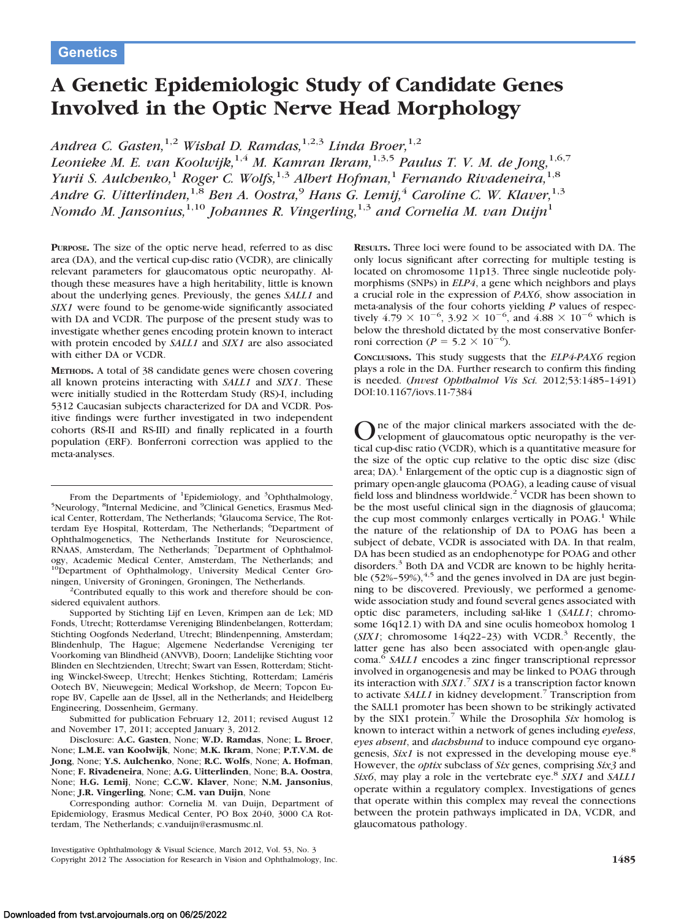# **A Genetic Epidemiologic Study of Candidate Genes Involved in the Optic Nerve Head Morphology**

*Andrea C. Gasten,*1,2 *Wishal D. Ramdas,*1,2,3 *Linda Broer,*1,2

*Leonieke M. E. van Koolwijk,*1,4 *M. Kamran Ikram,*1,3,5 *Paulus T. V. M. de Jong,*1,6,7 *Yurii S. Aulchenko,*<sup>1</sup> *Roger C. Wolfs,*1,3 *Albert Hofman,*<sup>1</sup> *Fernando Rivadeneira,*1,8 *Andre G. Uitterlinden,*1,8 *Ben A. Oostra,*<sup>9</sup> *Hans G. Lemij,*<sup>4</sup> *Caroline C. W. Klaver,*1,3 *Nomdo M. Jansonius*,<sup>1,10</sup> *Johannes R. Vingerling*,<sup>1,3</sup> *and Cornelia M. van Duijn*<sup>1</sup>

**PURPOSE.** The size of the optic nerve head, referred to as disc area (DA), and the vertical cup-disc ratio (VCDR), are clinically relevant parameters for glaucomatous optic neuropathy. Although these measures have a high heritability, little is known about the underlying genes. Previously, the genes *SALL1* and *SIX1* were found to be genome-wide significantly associated with DA and VCDR. The purpose of the present study was to investigate whether genes encoding protein known to interact with protein encoded by *SALL1* and *SIX1* are also associated with either DA or VCDR.

**METHODS.** A total of 38 candidate genes were chosen covering all known proteins interacting with *SALL1* and *SIX1*. These were initially studied in the Rotterdam Study (RS)-I, including 5312 Caucasian subjects characterized for DA and VCDR. Positive findings were further investigated in two independent cohorts (RS-II and RS-III) and finally replicated in a fourth population (ERF). Bonferroni correction was applied to the meta-analyses.

From the Departments of <sup>1</sup>Epidemiology, and <sup>3</sup>Ophthalmology, <sup>5</sup>Neurology, <sup>8</sup>Internal Medicine, and <sup>9</sup>Clinical Genetics, Erasmus Medicine Neurology, <sup>8</sup>Internal Medicine, and <sup>9</sup>Clinical Genetics, Erasmus Medical Center, Rotterdam, The Netherlands; <sup>4</sup>Glaucoma Service, The Rotterdam Eye Hospital, Rotterdam, The Netherlands; <sup>6</sup>Department of Ophthalmogenetics, The Netherlands Institute for Neuroscience,<br>RNAAS, Amsterdam, The Netherlands; <sup>7</sup>Department of Ophthalmology, Academic Medical Center, Amsterdam, The Netherlands; and <sup>10</sup>Department of Ophthalmology, University Medical Center Groningen, University of Groningen, Groningen, The Netherlands. <sup>2</sup>

<sup>2</sup>Contributed equally to this work and therefore should be considered equivalent authors.

Supported by Stichting Lijf en Leven, Krimpen aan de Lek; MD Fonds, Utrecht; Rotterdamse Vereniging Blindenbelangen, Rotterdam; Stichting Oogfonds Nederland, Utrecht; Blindenpenning, Amsterdam; Blindenhulp, The Hague; Algemene Nederlandse Vereniging ter Voorkoming van Blindheid (ANVVB), Doorn; Landelijke Stichting voor Blinden en Slechtzienden, Utrecht; Swart van Essen, Rotterdam; Stichting Winckel-Sweep, Utrecht; Henkes Stichting, Rotterdam; Laméris Ootech BV, Nieuwegein; Medical Workshop, de Meern; Topcon Europe BV, Capelle aan de IJssel, all in the Netherlands; and Heidelberg Engineering, Dossenheim, Germany.

Submitted for publication February 12, 2011; revised August 12 and November 17, 2011; accepted January 3, 2012.

Disclosure: **A.C. Gasten**, None; **W.D. Ramdas**, None; **L. Broer**, None; **L.M.E. van Koolwijk**, None; **M.K. Ikram**, None; **P.T.V.M. de Jong**, None; **Y.S. Aulchenko**, None; **R.C. Wolfs**, None; **A. Hofman**, None; **F. Rivadeneira**, None; **A.G. Uitterlinden**, None; **B.A. Oostra**, None; **H.G. Lemij**, None; **C.C.W. Klaver**, None; **N.M. Jansonius**, None; **J.R. Vingerling**, None; **C.M. van Duijn**, None

Corresponding author: Cornelia M. van Duijn, Department of Epidemiology, Erasmus Medical Center, PO Box 2040, 3000 CA Rotterdam, The Netherlands; c.vanduijn@erasmusmc.nl.

**RESULTS.** Three loci were found to be associated with DA. The only locus significant after correcting for multiple testing is located on chromosome 11p13. Three single nucleotide polymorphisms (SNPs) in *ELP4*, a gene which neighbors and plays a crucial role in the expression of *PAX6*, show association in meta-analysis of the four cohorts yielding *P* values of respectively 4.79  $\times$  10<sup>-6</sup>, 3.92  $\times$  10<sup>-6</sup>, and 4.88  $\times$  10<sup>-6</sup> which is below the threshold dictated by the most conservative Bonferroni correction ( $P = 5.2 \times 10^{-6}$ ).

**CONCLUSIONS.** This study suggests that the *ELP4-PAX6* region plays a role in the DA. Further research to confirm this finding is needed. (*Invest Ophthalmol Vis Sci.* 2012;53:1485–1491) DOI:10.1167/iovs.11-7384

ne of the major clinical markers associated with the development of glaucomatous optic neuropathy is the vertical cup-disc ratio (VCDR), which is a quantitative measure for the size of the optic cup relative to the optic disc size (disc area; DA).<sup>1</sup> Enlargement of the optic cup is a diagnostic sign of primary open-angle glaucoma (POAG), a leading cause of visual field loss and blindness worldwide.2 VCDR has been shown to be the most useful clinical sign in the diagnosis of glaucoma; the cup most commonly enlarges vertically in POAG.<sup>1</sup> While the nature of the relationship of DA to POAG has been a subject of debate, VCDR is associated with DA. In that realm, DA has been studied as an endophenotype for POAG and other disorders.<sup>3</sup> Both DA and VCDR are known to be highly heritable  $(52\% - 59\%)$ ,  $4.5$  and the genes involved in DA are just beginning to be discovered. Previously, we performed a genomewide association study and found several genes associated with optic disc parameters, including sal-like 1 (*SALL1*; chromosome 16q12.1) with DA and sine oculis homeobox homolog 1  $(SIX1;$  chromosome 14q22-23) with VCDR.<sup>3</sup> Recently, the latter gene has also been associated with open-angle glaucoma.6 *SALL1* encodes a zinc finger transcriptional repressor involved in organogenesis and may be linked to POAG through its interaction with *SIX1*. <sup>7</sup> *SIX1* is a transcription factor known to activate *SALL1* in kidney development.<sup>7</sup> Transcription from the SALL1 promoter has been shown to be strikingly activated by the SIX1 protein.7 While the Drosophila *Six* homolog is known to interact within a network of genes including *eyeless*, *eyes absent*, and *dachshund* to induce compound eye organogenesis, *Six1* is not expressed in the developing mouse eye.<sup>8</sup> However, the *optix* subclass of *Six* genes, comprising *Six3* and *Six6*, may play a role in the vertebrate eye.8 *SIX1* and *SALL1* operate within a regulatory complex. Investigations of genes that operate within this complex may reveal the connections between the protein pathways implicated in DA, VCDR, and glaucomatous pathology.

Investigative Ophthalmology & Visual Science, March 2012, Vol. 53, No. 3 Copyright 2012 The Association for Research in Vision and Ophthalmology, Inc. **1485**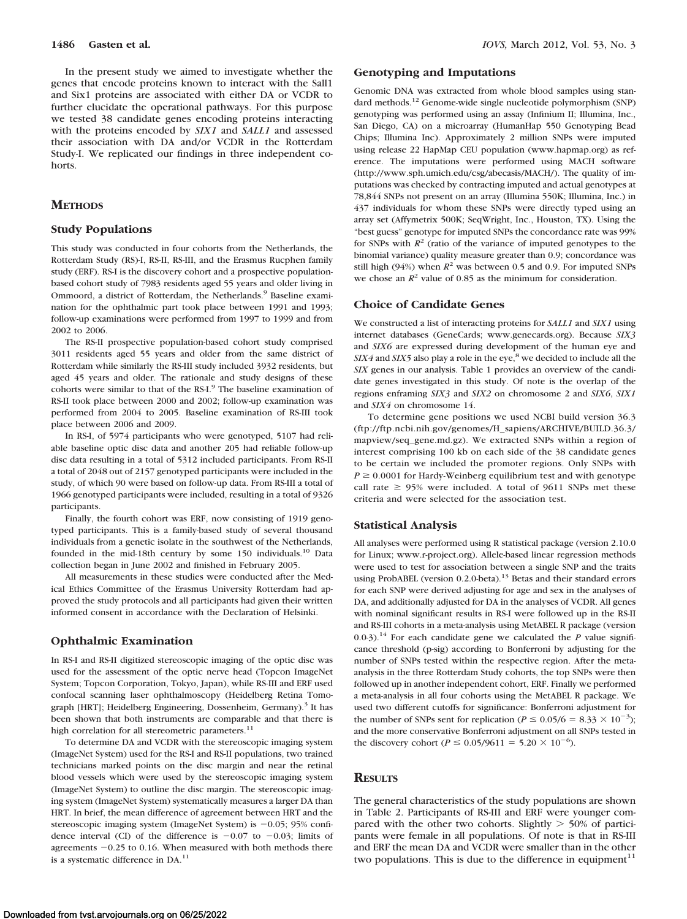In the present study we aimed to investigate whether the genes that encode proteins known to interact with the Sall1 and Six1 proteins are associated with either DA or VCDR to further elucidate the operational pathways. For this purpose we tested 38 candidate genes encoding proteins interacting with the proteins encoded by *SIX1* and *SALL1* and assessed their association with DA and/or VCDR in the Rotterdam Study-I. We replicated our findings in three independent cohorts.

## **METHODS**

### **Study Populations**

This study was conducted in four cohorts from the Netherlands, the Rotterdam Study (RS)-I, RS-II, RS-III, and the Erasmus Rucphen family study (ERF). RS-I is the discovery cohort and a prospective populationbased cohort study of 7983 residents aged 55 years and older living in Ommoord, a district of Rotterdam, the Netherlands.<sup>9</sup> Baseline examination for the ophthalmic part took place between 1991 and 1993; follow-up examinations were performed from 1997 to 1999 and from 2002 to 2006.

The RS-II prospective population-based cohort study comprised 3011 residents aged 55 years and older from the same district of Rotterdam while similarly the RS-III study included 3932 residents, but aged 45 years and older. The rationale and study designs of these cohorts were similar to that of the RS-I.<sup>9</sup> The baseline examination of RS-II took place between 2000 and 2002; follow-up examination was performed from 2004 to 2005. Baseline examination of RS-III took place between 2006 and 2009.

In RS-I, of 5974 participants who were genotyped, 5107 had reliable baseline optic disc data and another 205 had reliable follow-up disc data resulting in a total of 5312 included participants. From RS-II a total of 2048 out of 2157 genotyped participants were included in the study, of which 90 were based on follow-up data. From RS-III a total of 1966 genotyped participants were included, resulting in a total of 9326 participants.

Finally, the fourth cohort was ERF, now consisting of 1919 genotyped participants. This is a family-based study of several thousand individuals from a genetic isolate in the southwest of the Netherlands, founded in the mid-18th century by some 150 individuals.<sup>10</sup> Data collection began in June 2002 and finished in February 2005.

All measurements in these studies were conducted after the Medical Ethics Committee of the Erasmus University Rotterdam had approved the study protocols and all participants had given their written informed consent in accordance with the Declaration of Helsinki.

## **Ophthalmic Examination**

In RS-I and RS-II digitized stereoscopic imaging of the optic disc was used for the assessment of the optic nerve head (Topcon ImageNet System; Topcon Corporation, Tokyo, Japan), while RS-III and ERF used confocal scanning laser ophthalmoscopy (Heidelberg Retina Tomograph [HRT]; Heidelberg Engineering, Dossenheim, Germany).<sup>3</sup> It has been shown that both instruments are comparable and that there is high correlation for all stereometric parameters.<sup>11</sup>

To determine DA and VCDR with the stereoscopic imaging system (ImageNet System) used for the RS-I and RS-II populations, two trained technicians marked points on the disc margin and near the retinal blood vessels which were used by the stereoscopic imaging system (ImageNet System) to outline the disc margin. The stereoscopic imaging system (ImageNet System) systematically measures a larger DA than HRT. In brief, the mean difference of agreement between HRT and the stereoscopic imaging system (ImageNet System) is -0.05; 95% confidence interval (CI) of the difference is  $-0.07$  to  $-0.03$ ; limits of agreements -0.25 to 0.16. When measured with both methods there is a systematic difference in DA.<sup>11</sup>

#### **Genotyping and Imputations**

Genomic DNA was extracted from whole blood samples using standard methods.12 Genome-wide single nucleotide polymorphism (SNP) genotyping was performed using an assay (Infinium II; Illumina, Inc., San Diego, CA) on a microarray (HumanHap 550 Genotyping Bead Chips; Illumina Inc). Approximately 2 million SNPs were imputed using release 22 HapMap CEU population (www.hapmap.org) as reference. The imputations were performed using MACH software (http://www.sph.umich.edu/csg/abecasis/MACH/). The quality of imputations was checked by contracting imputed and actual genotypes at 78,844 SNPs not present on an array (Illumina 550K; Illumina, Inc.) in 437 individuals for whom these SNPs were directly typed using an array set (Affymetrix 500K; SeqWright, Inc., Houston, TX). Using the "best guess" genotype for imputed SNPs the concordance rate was 99% for SNPs with  $R^2$  (ratio of the variance of imputed genotypes to the binomial variance) quality measure greater than 0.9; concordance was still high (94%) when  $R^2$  was between 0.5 and 0.9. For imputed SNPs we chose an  $R^2$  value of 0.85 as the minimum for consideration.

# **Choice of Candidate Genes**

We constructed a list of interacting proteins for *SALL1* and *SIX1* using internet databases (GeneCards; www.genecards.org). Because *SIX3* and *SIX6* are expressed during development of the human eye and *SIX4* and *SIX5* also play a role in the eye,<sup>8</sup> we decided to include all the *SIX* genes in our analysis. Table 1 provides an overview of the candidate genes investigated in this study. Of note is the overlap of the regions enframing *SIX3* and *SIX2* on chromosome 2 and *SIX6*, *SIX1* and *SIX4* on chromosome 14.

To determine gene positions we used NCBI build version 36.3 (ftp://ftp.ncbi.nih.gov/genomes/H\_sapiens/ARCHIVE/BUILD.36.3/ mapview/seq\_gene.md.gz). We extracted SNPs within a region of interest comprising 100 kb on each side of the 38 candidate genes to be certain we included the promoter regions. Only SNPs with  $P \ge 0.0001$  for Hardy-Weinberg equilibrium test and with genotype call rate  $\geq$  95% were included. A total of 9611 SNPs met these criteria and were selected for the association test.

#### **Statistical Analysis**

All analyses were performed using R statistical package (version 2.10.0 for Linux; www.r-project.org). Allele-based linear regression methods were used to test for association between a single SNP and the traits using ProbABEL (version 0.2.0-beta).<sup>13</sup> Betas and their standard errors for each SNP were derived adjusting for age and sex in the analyses of DA, and additionally adjusted for DA in the analyses of VCDR. All genes with nominal significant results in RS-I were followed up in the RS-II and RS-III cohorts in a meta-analysis using MetABEL R package (version 0.0-3).<sup>14</sup> For each candidate gene we calculated the  $P$  value significance threshold (p-sig) according to Bonferroni by adjusting for the number of SNPs tested within the respective region. After the metaanalysis in the three Rotterdam Study cohorts, the top SNPs were then followed up in another independent cohort, ERF. Finally we performed a meta-analysis in all four cohorts using the MetABEL R package. We used two different cutoffs for significance: Bonferroni adjustment for the number of SNPs sent for replication ( $P \le 0.05/6 = 8.33 \times 10^{-3}$ ); and the more conservative Bonferroni adjustment on all SNPs tested in the discovery cohort ( $P \le 0.05/9611 = 5.20 \times 10^{-6}$ ).

## **RESULTS**

The general characteristics of the study populations are shown in Table 2. Participants of RS-III and ERF were younger compared with the other two cohorts. Slightly  $> 50\%$  of participants were female in all populations. Of note is that in RS-III and ERF the mean DA and VCDR were smaller than in the other two populations. This is due to the difference in equipment $11$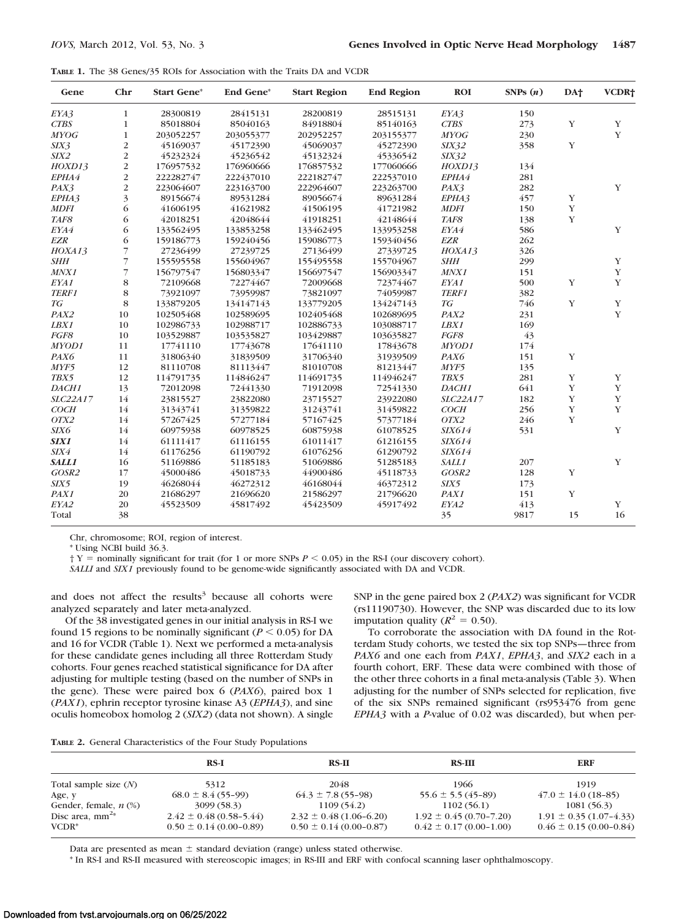**TABLE 1.** The 38 Genes/35 ROIs for Association with the Traits DA and VCDR

| Gene         | Chr            | <b>Start Gene*</b> | End Gene* | <b>Start Region</b> | <b>End Region</b> | <b>ROI</b>   | SNPs $(n)$ | DA <sup>+</sup> | VCDR <sup>+</sup> |
|--------------|----------------|--------------------|-----------|---------------------|-------------------|--------------|------------|-----------------|-------------------|
| EYA3         | 1              | 28300819           | 28415131  | 28200819            | 28515131          | EYA3         | 150        |                 |                   |
| <b>CTBS</b>  | $\mathbf{1}$   | 85018804           | 85040163  | 84918804            | 85140163          | <b>CTBS</b>  | 273        | Y               | Y                 |
| <b>MYOG</b>  | $\mathbf{1}$   | 203052257          | 203055377 | 202952257           | 203155377         | <b>MYOG</b>  | 230        |                 | Y                 |
| SIX3         | $\sqrt{2}$     | 45169037           | 45172390  | 45069037            | 45272390          | <b>SIX32</b> | 358        | $\mathbf Y$     |                   |
| SIX2         | $\overline{2}$ | 45232324           | 45236542  | 45132324            | 45336542          | SIX32        |            |                 |                   |
| HOXDI3       | $\sqrt{2}$     | 176957532          | 176960666 | 176857532           | 177060666         | HOXDI3       | 134        |                 |                   |
| EPHA4        | $\overline{2}$ | 222282747          | 222437010 | 222182747           | 222537010         | EPHA4        | 281        |                 |                   |
| PAX3         | $\sqrt{2}$     | 223064607          | 223163700 | 222964607           | 223263700         | PAX3         | 282        |                 | Y                 |
| EPHA3        | $\mathfrak{Z}$ | 89156674           | 89531284  | 89056674            | 89631284          | EPHA3        | 457        | $\mathbf Y$     |                   |
| <b>MDFI</b>  | 6              | 41606195           | 41621982  | 41506195            | 41721982          | <b>MDFI</b>  | 150        | $\mathbf Y$     |                   |
| TAF8         | 6              | 42018251           | 42048644  | 41918251            | 42148644          | TAF8         | 138        | $\mathbf Y$     |                   |
| EYA4         | 6              | 133562495          | 133853258 | 133462495           | 133953258         | EYA4         | 586        |                 | Y                 |
| <b>EZR</b>   | 6              | 159186773          | 159240456 | 159086773           | 159340456         | EZR          | 262        |                 |                   |
| HOX413       | $\overline{7}$ | 27236499           | 27239725  | 27136499            | 27339725          | HOX413       | 326        |                 |                   |
| <b>SHH</b>   | $\overline{7}$ | 155595558          | 155604967 | 155495558           | 155704967         | <b>SHH</b>   | 299        |                 | $\mathbf Y$       |
| MNX1         | $\overline{7}$ | 156797547          | 156803347 | 156697547           | 156903347         | MNX1         | 151        |                 | Y                 |
| EYA1         | 8              | 72109668           | 72274467  | 72009668            | 72374467          | EYA1         | 500        | $\mathbf Y$     | $\mathbf Y$       |
| <b>TERF1</b> | 8              | 73921097           | 73959987  | 73821097            | 74059987          | <b>TERF1</b> | 382        |                 |                   |
| TG           | 8              | 133879205          | 134147143 | 133779205           | 134247143         | TG           | 746        | $\mathbf Y$     | $\mathbf Y$       |
| PAX2         | 10             | 102505468          | 102589695 | 102405468           | 102689695         | PAX2         | 231        |                 | Y                 |
| LBX1         | 10             | 102986733          | 102988717 | 102886733           | 103088717         | LBX1         | 169        |                 |                   |
| FGF8         | 10             | 103529887          | 103535827 | 103429887           | 103635827         | FGF8         | 43         |                 |                   |
| MYOD1        | 11             | 17741110           | 17743678  | 17641110            | 17843678          | MYOD1        | 174        |                 |                   |
| PAX6         | 11             | 31806340           | 31839509  | 31706340            | 31939509          | PAX6         | 151        | $\mathbf Y$     |                   |
| MYF5         | 12             | 81110708           | 81113447  | 81010708            | 81213447          | MYF5         | 135        |                 |                   |
| TBX5         | 12             | 114791735          | 114846247 | 114691735           | 114946247         | TBX5         | 281        | $\mathbf Y$     | $\mathbf Y$       |
| DACH1        | 13             | 72012098           | 72441330  | 71912098            | 72541330          | DACH1        | 641        | $\mathbf Y$     | $\mathbf Y$       |
| SLC22A17     | 14             | 23815527           | 23822080  | 23715527            | 23922080          | SLC22A17     | 182        | $\mathbf Y$     | Y                 |
| COCH         | 14             | 31343741           | 31359822  | 31243741            | 31459822          | COCH         | 256        | $\mathbf Y$     | Y                 |
| OTX2         | 14             | 57267425           | 57277184  | 57167425            | 57377184          | OTX2         | 246        | $\mathbf Y$     |                   |
| SIX6         | 14             | 60975938           | 60978525  | 60875938            | 61078525          | SIX614       | 531        |                 | Y                 |
| SIX1         | 14             | 61111417           | 61116155  | 61011417            | 61216155          | SIX614       |            |                 |                   |
| SIX4         | 14             | 61176256           | 61190792  | 61076256            | 61290792          | SIX614       |            |                 |                   |
| SALL1        | 16             | 51169886           | 51185183  | 51069886            | 51285183          | SALL1        | 207        |                 | $\mathbf Y$       |
| GOSR2        | 17             | 45000486           | 45018733  | 44900486            | 45118733          | GOSR2        | 128        | Y               |                   |
| SIX5         | 19             | 46268044           | 46272312  | 46168044            | 46372312          | SIX5         | 173        |                 |                   |
| PAX1         | 20             | 21686297           | 21696620  | 21586297            | 21796620          | PAX1         | 151        | $\mathbf Y$     |                   |
| EYA2         | 20             | 45523509           | 45817492  | 45423509            | 45917492          | EYA2         | 413        |                 | Y                 |
| Total        | 38             |                    |           |                     |                   | 35           | 9817       | 15              | 16                |

Chr, chromosome; ROI, region of interest.

\* Using NCBI build 36.3.

 $\dagger$  Y = nominally significant for trait (for 1 or more SNPs *P* < 0.05) in the RS-I (our discovery cohort).

*SALLI* and *SIX1* previously found to be genome-wide significantly associated with DA and VCDR.

and does not affect the results<sup>3</sup> because all cohorts were analyzed separately and later meta-analyzed.

Of the 38 investigated genes in our initial analysis in RS-I we found 15 regions to be nominally significant ( $P < 0.05$ ) for DA and 16 for VCDR (Table 1). Next we performed a meta-analysis for these candidate genes including all three Rotterdam Study cohorts. Four genes reached statistical significance for DA after adjusting for multiple testing (based on the number of SNPs in the gene). These were paired box 6 (*PAX6*), paired box 1 (*PAX1*), ephrin receptor tyrosine kinase A3 (*EPHA3*), and sine oculis homeobox homolog 2 (*SIX2*) (data not shown). A single SNP in the gene paired box 2 (*PAX2*) was significant for VCDR (rs11190730). However, the SNP was discarded due to its low imputation quality ( $R^2 = 0.50$ ).

To corroborate the association with DA found in the Rotterdam Study cohorts, we tested the six top SNPs—three from *PAX6* and one each from *PAX1*, *EPHA3*, and *SIX2* each in a fourth cohort, ERF. These data were combined with those of the other three cohorts in a final meta-analysis (Table 3). When adjusting for the number of SNPs selected for replication, five of the six SNPs remained significant (rs953476 from gene *EPHA3* with a *P*-value of 0.02 was discarded), but when per-

|  |  | TABLE 2. General Characteristics of the Four Study Populations |  |  |  |  |
|--|--|----------------------------------------------------------------|--|--|--|--|
|--|--|----------------------------------------------------------------|--|--|--|--|

|                                 | $RS-I$                                                     | <b>RS-II</b>                                               | <b>RS-III</b>                                               | ERF                                                         |
|---------------------------------|------------------------------------------------------------|------------------------------------------------------------|-------------------------------------------------------------|-------------------------------------------------------------|
| Total sample size $(N)$         | 5312                                                       | 2048                                                       | 1966                                                        | 1919                                                        |
| Age, y                          | $68.0 \pm 8.4(55-99)$                                      | $64.3 \pm 7.8$ (55-98)                                     | $55.6 \pm 5.5(45-89)$                                       | $47.0 \pm 14.0$ (18-85)                                     |
| Gender, female, $n$ $(\%)$      | 3099 (58.3)                                                | 1109(54.2)                                                 | 1102(56.1)                                                  | 1081(56.3)                                                  |
| Disc area, $mm^{2*}$<br>$VCDR*$ | $2.42 \pm 0.48$ (0.58-5.44)<br>$0.50 \pm 0.14$ (0.00-0.89) | $2.32 \pm 0.48$ (1.06-6.20)<br>$0.50 \pm 0.14$ (0.00-0.87) | $1.92 \pm 0.45$ (0.70-7.20)<br>$0.42 \pm 0.17(0.00 - 1.00)$ | $1.91 \pm 0.35$ (1.07-4.33)<br>$0.46 \pm 0.15(0.00 - 0.84)$ |

Data are presented as mean  $\pm$  standard deviation (range) unless stated otherwise.

\* In RS-I and RS-II measured with stereoscopic images; in RS-III and ERF with confocal scanning laser ophthalmoscopy.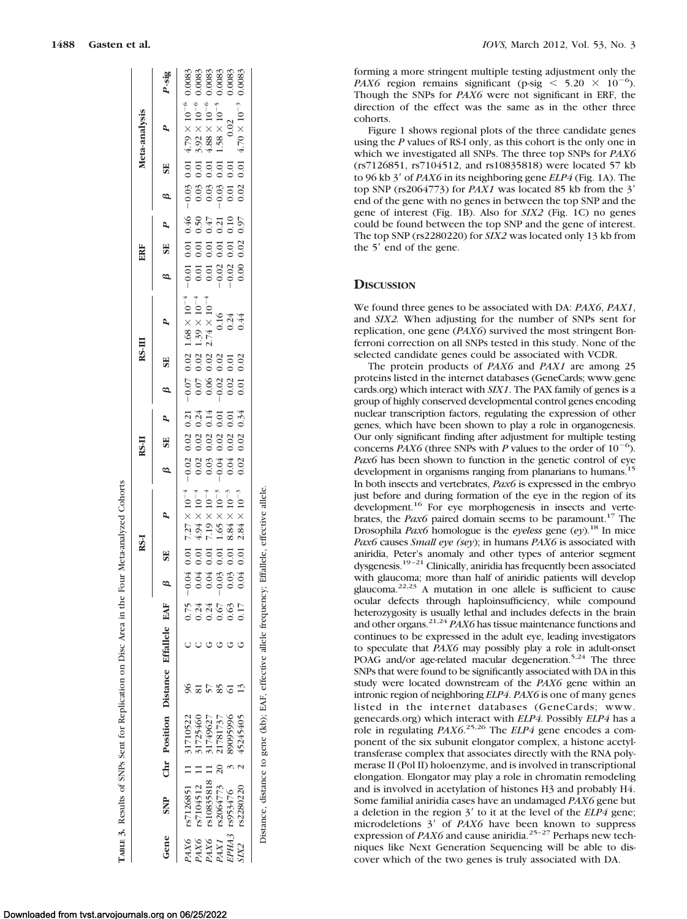|                                      |            |                                     |  |                          |                         | RS-I                                                                                                                                                                  |                         | $RS-II$    |                      |                                                  | RS-III                                                                                                                                                                                                                                                                                                        |                                                                                           | ERF |                                             |                           | Meta-analysis                                                                                                                   |                                                                                             |
|--------------------------------------|------------|-------------------------------------|--|--------------------------|-------------------------|-----------------------------------------------------------------------------------------------------------------------------------------------------------------------|-------------------------|------------|----------------------|--------------------------------------------------|---------------------------------------------------------------------------------------------------------------------------------------------------------------------------------------------------------------------------------------------------------------------------------------------------------------|-------------------------------------------------------------------------------------------|-----|---------------------------------------------|---------------------------|---------------------------------------------------------------------------------------------------------------------------------|---------------------------------------------------------------------------------------------|
| Gene                                 | <b>SNP</b> | Chr Position Distance Effallele EAF |  |                          | $\overline{\mathbf{s}}$ |                                                                                                                                                                       |                         | $\beta$ SE |                      | $P$ $\beta$ SE                                   |                                                                                                                                                                                                                                                                                                               | P                                                                                         |     |                                             | $\beta$ SE $P$ $\beta$ SE | $\mathbf{P}$                                                                                                                    | P-sig                                                                                       |
|                                      | rs7126851  | \$1710522                           |  |                          |                         |                                                                                                                                                                       |                         |            |                      |                                                  |                                                                                                                                                                                                                                                                                                               |                                                                                           |     |                                             |                           |                                                                                                                                 |                                                                                             |
| PAX6<br>PAX6<br>PAX1<br>PAX1<br>PHA3 | rs7104512  | 1725460                             |  | 2336317<br>23367<br>2236 |                         | $\begin{array}{l} 7.27 \times 10^{-4} \\ 4.94 \times 10^{-4} \\ 7.19 \times 10^{-4} \\ 1.65 \times 10^{-3} \\ 8.84 \times 10^{-3} \\ 2.84 \times 10^{-3} \end{array}$ | $0288440$<br>$00000000$ |            | 1344<br>1345<br>1960 | $-0.07$<br>$-0.06$<br>$-0.02$<br>$-0.01$<br>0.00 | $\begin{array}{c} 0.01 \\ 0.01 \\ 0.01 \\ 0.01 \\ 0.01 \\ 0.01 \\ 0.01 \\ 0.01 \\ 0.01 \\ 0.01 \\ 0.01 \\ 0.01 \\ 0.01 \\ 0.01 \\ 0.01 \\ 0.01 \\ 0.01 \\ 0.01 \\ 0.01 \\ 0.01 \\ 0.01 \\ 0.01 \\ 0.01 \\ 0.01 \\ 0.01 \\ 0.01 \\ 0.01 \\ 0.01 \\ 0.01 \\ 0.01 \\ 0.01 \\ 0.01 \\ 0.01 \\ 0.01 \\ 0.01 \\ 0.$ | $1.68 \times 10^{-4}$<br>$1.39 \times 10^{-4}$<br>$2.74 \times 10^{-4}$<br>$0.16$<br>0.24 |     | $6.50 + 7.19$<br>$0.50 + 7.19$<br>$0.00000$ | 8<br>88888<br>9000000     | $\begin{array}{l} 4.79 \times 10^{-6} \\ 3.92 \times 10^{-6} \\ 4.88 \times 10^{-6} \\ 1.58 \times 10^{-5} \\ 0.02 \end{array}$ | $\begin{array}{l} 0.0083 \ 0.0083 \ 0.0083 \ 0.0083 \ 0.0083 \ 0.0083 \ 0.0083 \end{array}$ |
|                                      | s10835818  | 1749627                             |  |                          |                         |                                                                                                                                                                       |                         |            |                      |                                                  |                                                                                                                                                                                                                                                                                                               |                                                                                           |     |                                             |                           |                                                                                                                                 |                                                                                             |
|                                      | rs2064773  | 1781737                             |  |                          |                         |                                                                                                                                                                       |                         |            |                      |                                                  |                                                                                                                                                                                                                                                                                                               |                                                                                           |     |                                             |                           |                                                                                                                                 |                                                                                             |
|                                      | rs953476   | 89095996                            |  |                          |                         |                                                                                                                                                                       |                         |            |                      |                                                  |                                                                                                                                                                                                                                                                                                               |                                                                                           |     |                                             |                           |                                                                                                                                 |                                                                                             |
| X2                                   | s2280220   | 15245405                            |  |                          |                         |                                                                                                                                                                       |                         |            |                      |                                                  |                                                                                                                                                                                                                                                                                                               |                                                                                           |     |                                             |                           | $4.70 \times 10^{-3}$                                                                                                           |                                                                                             |
|                                      |            |                                     |  |                          |                         |                                                                                                                                                                       |                         |            |                      |                                                  |                                                                                                                                                                                                                                                                                                               |                                                                                           |     |                                             |                           |                                                                                                                                 |                                                                                             |

Distance, distance to gene (kb); EAF, effective allele frequency; Effallele, effective allele. Distance, distance to gene (kb); EAF, effective allele frequency; Effallele, effective allele.

**1488 Gasten et al.** *IOVS,* March 2012, Vol. 53, No. 3

forming a more stringent multiple testing adjustment only the *PAX6* region remains significant (p-sig  $\lt$  5.20  $\times$  10<sup>-6</sup>). Though the SNPs for *PAX6* were not significant in ERF, the direction of the effect was the same as in the other three cohorts.

Figure 1 shows regional plots of the three candidate genes using the *P* values of RS-I only, as this cohort is the only one in which we investigated all SNPs. The three top SNPs for *PAX6* (rs7126851, rs7104512, and rs10835818) were located 57 kb to 96 kb 3' of *PAX6* in its neighboring gene *ELP4* (Fig. 1A). The top SNP (rs2064773) for *PAX1* was located 85 kb from the 3 end of the gene with no genes in between the top SNP and the gene of interest (Fig. 1B). Also for *SIX2* (Fig. 1C) no genes could be found between the top SNP and the gene of interest. The top SNP (rs2280220) for *SIX2* was located only 13 kb from the  $5'$  end of the gene.

## **DISCUSSION**

We found three genes to be associated with DA: *PAX6*, *PAX1*, and *SIX2.* When adjusting for the number of SNPs sent for replication, one gene (*PAX6*) survived the most stringent Bonferroni correction on all SNPs tested in this study. None of the selected candidate genes could be associated with VCDR.

The protein products of *PAX6* and *PAX1* are among 25 proteins listed in the internet databases (GeneCards; www.gene cards.org) which interact with *SIX1*. The PAX family of genes is a group of highly conserved developmental control genes encoding nuclear transcription factors, regulating the expression of other genes, which have been shown to play a role in organogenesis. Our only significant finding after adjustment for multiple testing concerns *PAX6* (three SNPs with *P* values to the order of  $10^{-6}$ ). *Pax6* has been shown to function in the genetic control of eye development in organisms ranging from planarians to humans.<sup>1</sup> In both insects and vertebrates, *Pax6* is expressed in the embryo just before and during formation of the eye in the region of its development.<sup>16</sup> For eye morphogenesis in insects and vertebrates, the *Pax6* paired domain seems to be paramount.<sup>17</sup> The Drosophila *Pax6* homologue is the *eyeless* gene (*ey*).18 In mice *Pax6* causes *Small eye (sey*); in humans *PAX6* is associated with aniridia, Peter's anomaly and other types of anterior segment dysgenesis.<sup>19-21</sup> Clinically, aniridia has frequently been associated with glaucoma; more than half of aniridic patients will develop glaucoma.22,23 A mutation in one allele is sufficient to cause ocular defects through haploinsufficiency, while compound heterozygosity is usually lethal and includes defects in the brain and other organs.21,24 *PAX6* has tissue maintenance functions and continues to be expressed in the adult eye, leading investigators to speculate that *PAX6* may possibly play a role in adult-onset POAG and/or age-related macular degeneration.<sup>5,24</sup> The three SNPs that were found to be significantly associated with DA in this study were located downstream of the *PAX6* gene within an intronic region of neighboring *ELP4*. *PAX6* is one of many genes listed in the internet databases (GeneCards; www. genecards.org) which interact with *ELP4.* Possibly *ELP4* has a role in regulating *PAX6*. 25,26 The *ELP4* gene encodes a component of the six subunit elongator complex, a histone acetyltransferase complex that associates directly with the RNA polymerase II (Pol II) holoenzyme, and is involved in transcriptional elongation. Elongator may play a role in chromatin remodeling and is involved in acetylation of histones H3 and probably H4. Some familial aniridia cases have an undamaged *PAX6* gene but a deletion in the region 3' to it at the level of the *ELP4* gene; microdeletions 3' of *PAX6* have been known to suppress expression of *PAX6* and cause aniridia.<sup>25-27</sup> Perhaps new techniques like Next Generation Sequencing will be able to discover which of the two genes is truly associated with DA.

TABLE 3. Results of SNPs Sent for Replication on Disc Area in the Four Meta-analyzed Cohorts

**ABLE 3.** Results of SNPs Sent for Replication on Disc Area in the Four Meta-analyzed Cohorts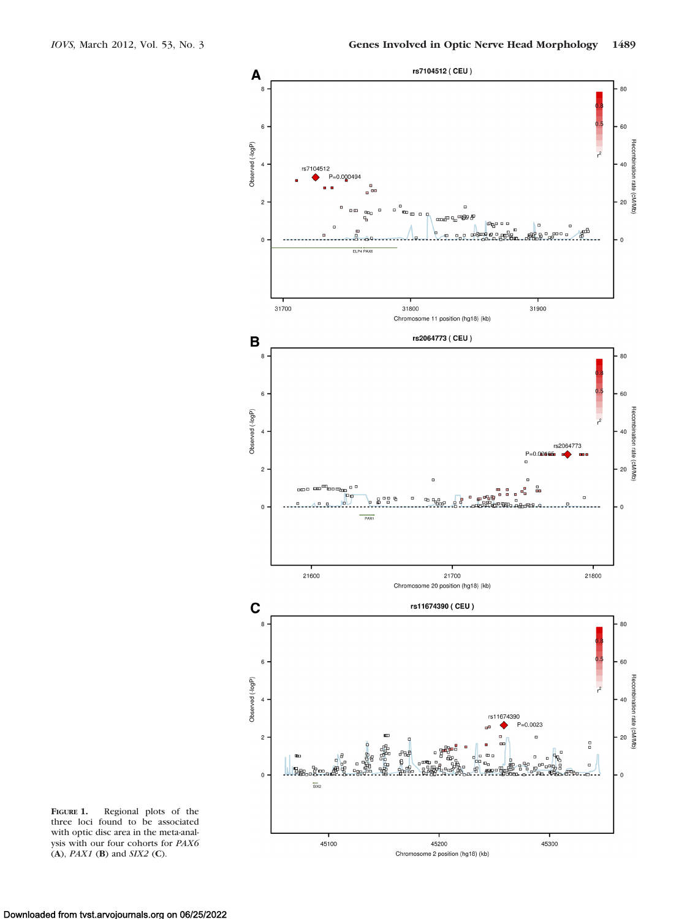

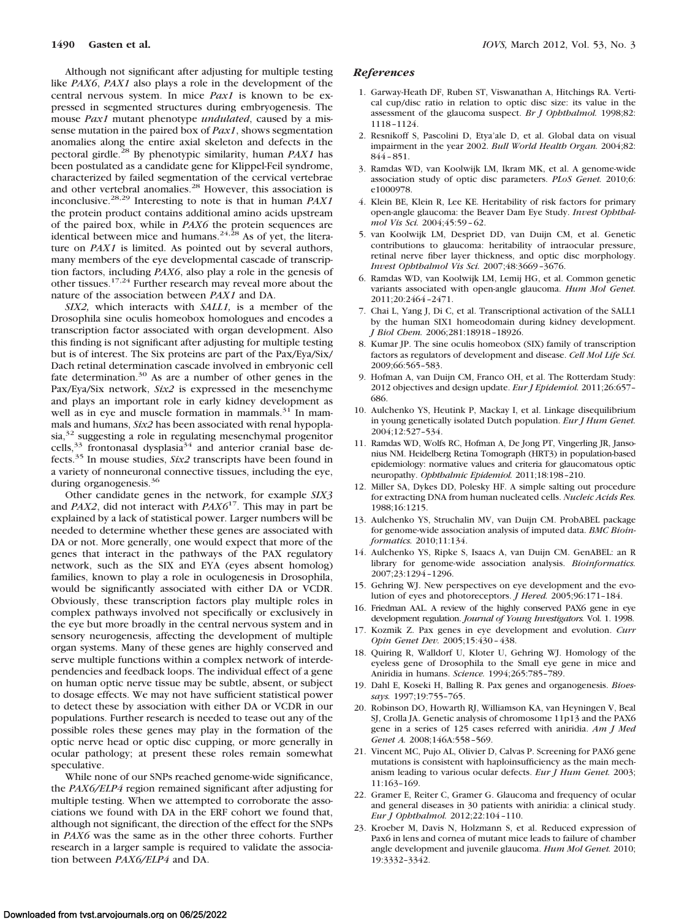Although not significant after adjusting for multiple testing like *PAX6*, *PAX1* also plays a role in the development of the central nervous system. In mice *Pax1* is known to be expressed in segmented structures during embryogenesis. The mouse *Pax1* mutant phenotype *undulated*, caused by a missense mutation in the paired box of *Pax1*, shows segmentation anomalies along the entire axial skeleton and defects in the pectoral girdle.28 By phenotypic similarity, human *PAX1* has been postulated as a candidate gene for Klippel-Feil syndrome, characterized by failed segmentation of the cervical vertebrae and other vertebral anomalies.<sup>28</sup> However, this association is inconclusive.28,29 Interesting to note is that in human *PAX1* the protein product contains additional amino acids upstream of the paired box, while in *PAX6* the protein sequences are identical between mice and humans.<sup>24,28</sup> As of yet, the literature on *PAX1* is limited. As pointed out by several authors, many members of the eye developmental cascade of transcription factors, including *PAX6*, also play a role in the genesis of other tissues.17,24 Further research may reveal more about the nature of the association between *PAX1* and DA.

*SIX2,* which interacts with *SALL1,* is a member of the Drosophila sine oculis homeobox homologues and encodes a transcription factor associated with organ development. Also this finding is not significant after adjusting for multiple testing but is of interest. The Six proteins are part of the Pax/Eya/Six/ Dach retinal determination cascade involved in embryonic cell fate determination.30 As are a number of other genes in the Pax/Eya/Six network, *Six2* is expressed in the mesenchyme and plays an important role in early kidney development as well as in eye and muscle formation in mammals.<sup>31</sup> In mammals and humans, *Six2* has been associated with renal hypoplasia,<sup>32</sup> suggesting a role in regulating mesenchymal progenitor cells,<sup>33</sup> frontonasal dysplasia<sup>34</sup> and anterior cranial base defects.35 In mouse studies, *Six2* transcripts have been found in a variety of nonneuronal connective tissues, including the eye, during organogenesis.<sup>36</sup>

Other candidate genes in the network, for example *SIX3* and *PAX2*, did not interact with *PAX6*17. This may in part be explained by a lack of statistical power. Larger numbers will be needed to determine whether these genes are associated with DA or not. More generally, one would expect that more of the genes that interact in the pathways of the PAX regulatory network, such as the SIX and EYA (eyes absent homolog) families, known to play a role in oculogenesis in Drosophila, would be significantly associated with either DA or VCDR. Obviously, these transcription factors play multiple roles in complex pathways involved not specifically or exclusively in the eye but more broadly in the central nervous system and in sensory neurogenesis, affecting the development of multiple organ systems. Many of these genes are highly conserved and serve multiple functions within a complex network of interdependencies and feedback loops. The individual effect of a gene on human optic nerve tissue may be subtle, absent, or subject to dosage effects. We may not have sufficient statistical power to detect these by association with either DA or VCDR in our populations. Further research is needed to tease out any of the possible roles these genes may play in the formation of the optic nerve head or optic disc cupping, or more generally in ocular pathology; at present these roles remain somewhat speculative.

While none of our SNPs reached genome-wide significance, the *PAX6/ELP4* region remained significant after adjusting for multiple testing. When we attempted to corroborate the associations we found with DA in the ERF cohort we found that, although not significant, the direction of the effect for the SNPs in *PAX6* was the same as in the other three cohorts. Further research in a larger sample is required to validate the association between *PAX6/ELP4* and DA.

#### **1490 Gasten et al.** *IOVS,* March 2012, Vol. 53, No. 3

#### *References*

- 1. Garway-Heath DF, Ruben ST, Viswanathan A, Hitchings RA. Vertical cup/disc ratio in relation to optic disc size: its value in the assessment of the glaucoma suspect. *Br J Ophthalmol.* 1998;82: 1118 –1124.
- 2. Resnikoff S, Pascolini D, Etya'ale D, et al. Global data on visual impairment in the year 2002. *Bull World Health Organ.* 2004;82: 844 – 851.
- 3. Ramdas WD, van Koolwijk LM, Ikram MK, et al. A genome-wide association study of optic disc parameters. *PLoS Genet.* 2010;6: e1000978.
- 4. Klein BE, Klein R, Lee KE. Heritability of risk factors for primary open-angle glaucoma: the Beaver Dam Eye Study. *Invest Ophthalmol Vis Sci.* 2004;45:59 – 62.
- 5. van Koolwijk LM, Despriet DD, van Duijn CM, et al. Genetic contributions to glaucoma: heritability of intraocular pressure, retinal nerve fiber layer thickness, and optic disc morphology. *Invest Ophthalmol Vis Sci.* 2007;48:3669 –3676.
- 6. Ramdas WD, van Koolwijk LM, Lemij HG, et al. Common genetic variants associated with open-angle glaucoma. *Hum Mol Genet.* 2011;20:2464 –2471.
- 7. Chai L, Yang J, Di C, et al. Transcriptional activation of the SALL1 by the human SIX1 homeodomain during kidney development. *J Biol Chem.* 2006;281:18918 –18926.
- 8. Kumar JP. The sine oculis homeobox (SIX) family of transcription factors as regulators of development and disease. *Cell Mol Life Sci.* 2009;66:565–583.
- 9. Hofman A, van Duijn CM, Franco OH, et al. The Rotterdam Study: 2012 objectives and design update. *Eur J Epidemiol.* 2011;26:657– 686.
- 10. Aulchenko YS, Heutink P, Mackay I, et al. Linkage disequilibrium in young genetically isolated Dutch population. *Eur J Hum Genet.* 2004;12:527–534.
- 11. Ramdas WD, Wolfs RC, Hofman A, De Jong PT, Vingerling JR, Jansonius NM. Heidelberg Retina Tomograph (HRT3) in population-based epidemiology: normative values and criteria for glaucomatous optic neuropathy. *Ophthalmic Epidemiol.* 2011;18:198 –210.
- 12. Miller SA, Dykes DD, Polesky HF. A simple salting out procedure for extracting DNA from human nucleated cells. *Nucleic Acids Res.* 1988;16:1215.
- 13. Aulchenko YS, Struchalin MV, van Duijn CM. ProbABEL package for genome-wide association analysis of imputed data. *BMC Bioinformatics.* 2010;11:134.
- 14. Aulchenko YS, Ripke S, Isaacs A, van Duijn CM. GenABEL: an R library for genome-wide association analysis. *Bioinformatics.* 2007;23:1294 –1296.
- 15. Gehring WJ. New perspectives on eye development and the evolution of eyes and photoreceptors. *J Hered.* 2005;96:171–184.
- 16. Friedman AAL. A review of the highly conserved PAX6 gene in eye development regulation. *Journal of Young Investigators.* Vol. 1. 1998.
- 17. Kozmik Z. Pax genes in eye development and evolution. *Curr Opin Genet Dev.* 2005;15:430 – 438.
- 18. Quiring R, Walldorf U, Kloter U, Gehring WJ. Homology of the eyeless gene of Drosophila to the Small eye gene in mice and Aniridia in humans. *Science.* 1994;265:785–789.
- 19. Dahl E, Koseki H, Balling R. Pax genes and organogenesis. *Bioessays.* 1997;19:755–765.
- 20. Robinson DO, Howarth RJ, Williamson KA, van Heyningen V, Beal SJ, Crolla JA. Genetic analysis of chromosome 11p13 and the PAX6 gene in a series of 125 cases referred with aniridia. *Am J Med Genet A.* 2008;146A:558 –569.
- 21. Vincent MC, Pujo AL, Olivier D, Calvas P. Screening for PAX6 gene mutations is consistent with haploinsufficiency as the main mechanism leading to various ocular defects. *Eur J Hum Genet.* 2003; 11:163–169.
- 22. Gramer E, Reiter C, Gramer G. Glaucoma and frequency of ocular and general diseases in 30 patients with aniridia: a clinical study. *Eur J Ophthalmol.* 2012;22:104 –110.
- 23. Kroeber M, Davis N, Holzmann S, et al. Reduced expression of Pax6 in lens and cornea of mutant mice leads to failure of chamber angle development and juvenile glaucoma. *Hum Mol Genet.* 2010; 19:3332–3342.